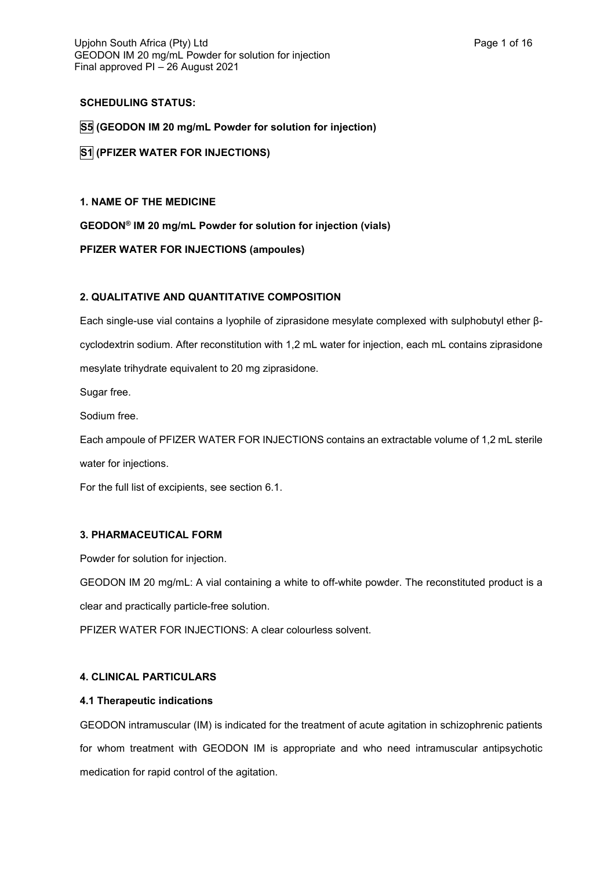# **SCHEDULING STATUS:**

**S5 (GEODON IM 20 mg/mL Powder for solution for injection)**

**S1 (PFIZER WATER FOR INJECTIONS)**

# **1. NAME OF THE MEDICINE**

**GEODON® IM 20 mg/mL Powder for solution for injection (vials)**

# **PFIZER WATER FOR INJECTIONS (ampoules)**

# **2. QUALITATIVE AND QUANTITATIVE COMPOSITION**

Each single-use vial contains a lyophile of ziprasidone mesylate complexed with sulphobutyl ether βcyclodextrin sodium. After reconstitution with 1,2 mL water for injection, each mL contains ziprasidone mesylate trihydrate equivalent to 20 mg ziprasidone.

Sugar free.

Sodium free.

Each ampoule of PFIZER WATER FOR INJECTIONS contains an extractable volume of 1,2 mL sterile water for injections.

For the full list of excipients, see section 6.1.

# **3. PHARMACEUTICAL FORM**

Powder for solution for injection.

GEODON IM 20 mg/mL: A vial containing a white to off-white powder. The reconstituted product is a clear and practically particle-free solution.

PFIZER WATER FOR INJECTIONS: A clear colourless solvent.

# **4. CLINICAL PARTICULARS**

# **4.1 Therapeutic indications**

GEODON intramuscular (IM) is indicated for the treatment of acute agitation in schizophrenic patients for whom treatment with GEODON IM is appropriate and who need intramuscular antipsychotic medication for rapid control of the agitation.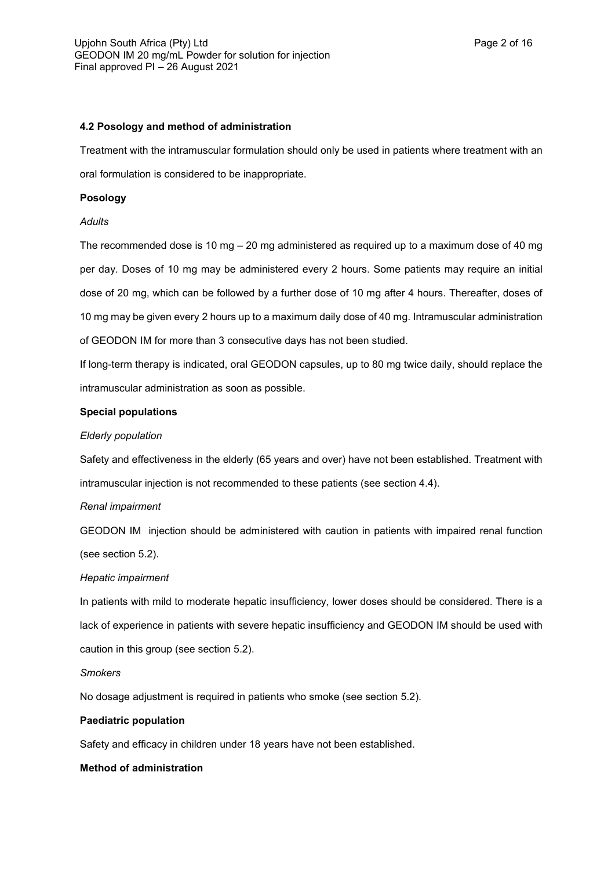## **4.2 Posology and method of administration**

Treatment with the intramuscular formulation should only be used in patients where treatment with an oral formulation is considered to be inappropriate.

# **Posology**

# *Adults*

The recommended dose is 10 mg – 20 mg administered as required up to a maximum dose of 40 mg per day. Doses of 10 mg may be administered every 2 hours. Some patients may require an initial dose of 20 mg, which can be followed by a further dose of 10 mg after 4 hours. Thereafter, doses of 10 mg may be given every 2 hours up to a maximum daily dose of 40 mg. Intramuscular administration of GEODON IM for more than 3 consecutive days has not been studied.

If long-term therapy is indicated, oral GEODON capsules, up to 80 mg twice daily, should replace the intramuscular administration as soon as possible.

# **Special populations**

# *Elderly population*

Safety and effectiveness in the elderly (65 years and over) have not been established. Treatment with intramuscular injection is not recommended to these patients (see section 4.4).

# *Renal impairment*

GEODON IM injection should be administered with caution in patients with impaired renal function (see section 5.2).

# *Hepatic impairment*

In patients with mild to moderate hepatic insufficiency, lower doses should be considered. There is a lack of experience in patients with severe hepatic insufficiency and GEODON IM should be used with caution in this group (see section 5.2).

# *Smokers*

No dosage adjustment is required in patients who smoke (see section 5.2).

# **Paediatric population**

Safety and efficacy in children under 18 years have not been established.

# **Method of administration**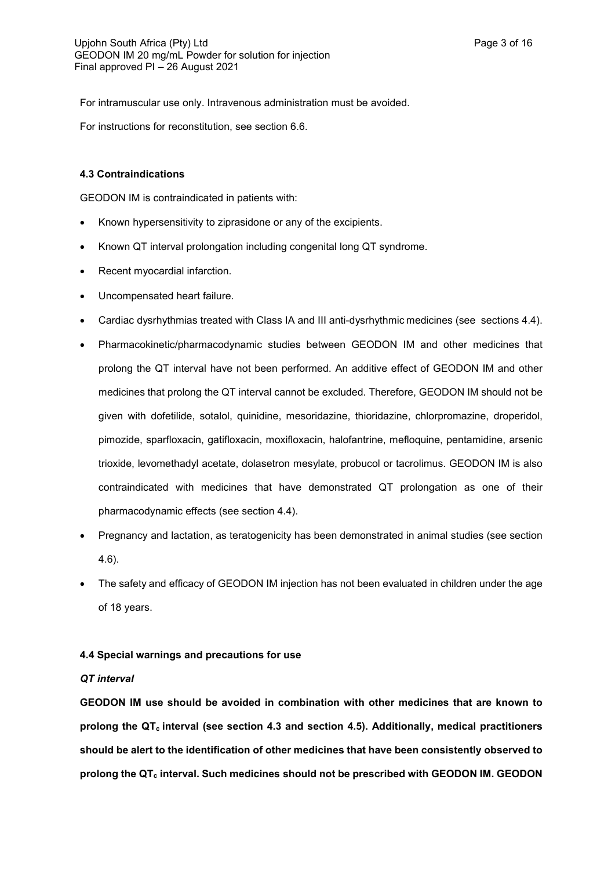For intramuscular use only. Intravenous administration must be avoided.

For instructions for reconstitution, see section 6.6.

## **4.3 Contraindications**

GEODON IM is contraindicated in patients with:

- Known hypersensitivity to ziprasidone or any of the excipients.
- Known QT interval prolongation including congenital long QT syndrome.
- Recent myocardial infarction.
- Uncompensated heart failure.
- Cardiac dysrhythmias treated with Class IA and III anti-dysrhythmic medicines (see sections 4.4).
- Pharmacokinetic/pharmacodynamic studies between GEODON IM and other medicines that prolong the QT interval have not been performed. An additive effect of GEODON IM and other medicines that prolong the QT interval cannot be excluded. Therefore, GEODON IM should not be given with dofetilide, sotalol, quinidine, mesoridazine, thioridazine, chlorpromazine, droperidol, pimozide, sparfloxacin, gatifloxacin, moxifloxacin, halofantrine, mefloquine, pentamidine, arsenic trioxide, levomethadyl acetate, dolasetron mesylate, probucol or tacrolimus. GEODON IM is also contraindicated with medicines that have demonstrated QT prolongation as one of their pharmacodynamic effects (see section 4.4).
- Pregnancy and lactation, as teratogenicity has been demonstrated in animal studies (see section 4.6).
- The safety and efficacy of GEODON IM injection has not been evaluated in children under the age of 18 years.

## **4.4 Special warnings and precautions for use**

## *QT interval*

**GEODON IM use should be avoided in combination with other medicines that are known to prolong the QTc interval (see section 4.3 and section 4.5). Additionally, medical practitioners should be alert to the identification of other medicines that have been consistently observed to prolong the QT<sup>c</sup> interval. Such medicines should not be prescribed with GEODON IM. GEODON**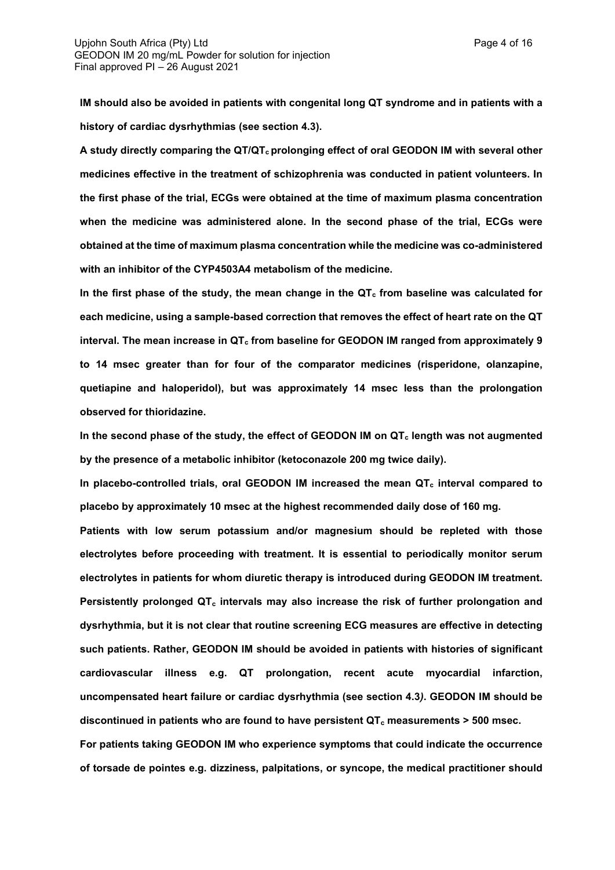**IM should also be avoided in patients with congenital long QT syndrome and in patients with a history of cardiac dysrhythmias (see section 4.3).**

**A study directly comparing the QT/QTc prolonging effect of oral GEODON IM with several other medicines effective in the treatment of schizophrenia was conducted in patient volunteers. In the first phase of the trial, ECGs were obtained at the time of maximum plasma concentration when the medicine was administered alone. In the second phase of the trial, ECGs were obtained at the time of maximum plasma concentration while the medicine was co-administered with an inhibitor of the CYP4503A4 metabolism of the medicine.**

**In the first phase of the study, the mean change in the QT<sup>c</sup> from baseline was calculated for each medicine, using a sample-based correction that removes the effect of heart rate on the QT interval. The mean increase in QT<sup>c</sup> from baseline for GEODON IM ranged from approximately 9 to 14 msec greater than for four of the comparator medicines (risperidone, olanzapine, quetiapine and haloperidol), but was approximately 14 msec less than the prolongation observed for thioridazine.**

**In the second phase of the study, the effect of GEODON IM on QT<sup>c</sup> length was not augmented by the presence of a metabolic inhibitor (ketoconazole 200 mg twice daily).**

**In placebo-controlled trials, oral GEODON IM increased the mean QT<sup>c</sup> interval compared to placebo by approximately 10 msec at the highest recommended daily dose of 160 mg.**

**Patients with low serum potassium and/or magnesium should be repleted with those electrolytes before proceeding with treatment. It is essential to periodically monitor serum electrolytes in patients for whom diuretic therapy is introduced during GEODON IM treatment. Persistently prolonged QT<sup>c</sup> intervals may also increase the risk of further prolongation and dysrhythmia, but it is not clear that routine screening ECG measures are effective in detecting such patients. Rather, GEODON IM should be avoided in patients with histories of significant cardiovascular illness e.g. QT prolongation, recent acute myocardial infarction, uncompensated heart failure or cardiac dysrhythmia (see section 4.3***)***. GEODON IM should be discontinued in patients who are found to have persistent QT<sup>c</sup> measurements > 500 msec.**

**For patients taking GEODON IM who experience symptoms that could indicate the occurrence of torsade de pointes e.g. dizziness, palpitations, or syncope, the medical practitioner should**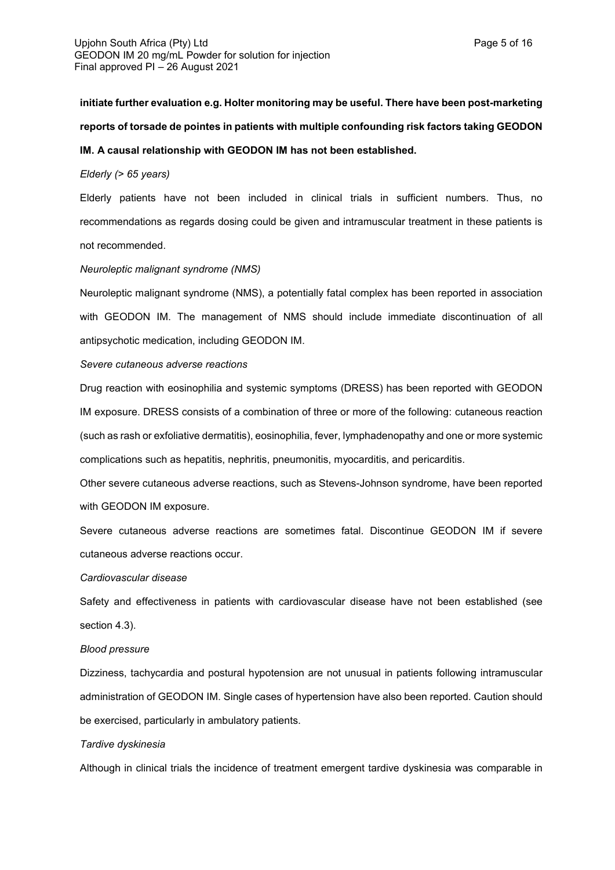# **initiate further evaluation e.g. Holter monitoring may be useful. There have been post-marketing reports of torsade de pointes in patients with multiple confounding risk factors taking GEODON**

## **IM. A causal relationship with GEODON IM has not been established.**

## *Elderly (> 65 years)*

Elderly patients have not been included in clinical trials in sufficient numbers. Thus, no recommendations as regards dosing could be given and intramuscular treatment in these patients is not recommended.

## *Neuroleptic malignant syndrome (NMS)*

Neuroleptic malignant syndrome (NMS), a potentially fatal complex has been reported in association with GEODON IM. The management of NMS should include immediate discontinuation of all antipsychotic medication, including GEODON IM.

## *Severe cutaneous adverse reactions*

Drug reaction with eosinophilia and systemic symptoms (DRESS) has been reported with GEODON IM exposure. DRESS consists of a combination of three or more of the following: cutaneous reaction (such as rash or exfoliative dermatitis), eosinophilia, fever, lymphadenopathy and one or more systemic complications such as hepatitis, nephritis, pneumonitis, myocarditis, and pericarditis.

Other severe cutaneous adverse reactions, such as Stevens-Johnson syndrome, have been reported with GEODON IM exposure.

Severe cutaneous adverse reactions are sometimes fatal. Discontinue GEODON IM if severe cutaneous adverse reactions occur.

## *Cardiovascular disease*

Safety and effectiveness in patients with cardiovascular disease have not been established (see section 4.3).

## *Blood pressure*

Dizziness, tachycardia and postural hypotension are not unusual in patients following intramuscular administration of GEODON IM. Single cases of hypertension have also been reported. Caution should be exercised, particularly in ambulatory patients.

## *Tardive dyskinesia*

Although in clinical trials the incidence of treatment emergent tardive dyskinesia was comparable in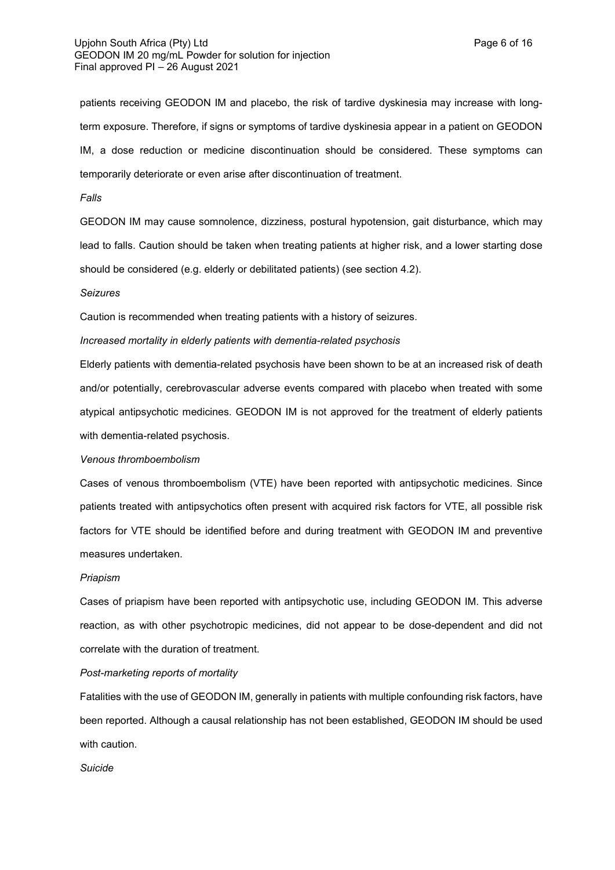patients receiving GEODON IM and placebo, the risk of tardive dyskinesia may increase with longterm exposure. Therefore, if signs or symptoms of tardive dyskinesia appear in a patient on GEODON IM, a dose reduction or medicine discontinuation should be considered. These symptoms can temporarily deteriorate or even arise after discontinuation of treatment.

#### *Falls*

GEODON IM may cause somnolence, dizziness, postural hypotension, gait disturbance, which may lead to falls. Caution should be taken when treating patients at higher risk, and a lower starting dose should be considered (e.g. elderly or debilitated patients) (see section 4.2).

#### *Seizures*

Caution is recommended when treating patients with a history of seizures.

#### *Increased mortality in elderly patients with dementia-related psychosis*

Elderly patients with dementia-related psychosis have been shown to be at an increased risk of death and/or potentially, cerebrovascular adverse events compared with placebo when treated with some atypical antipsychotic medicines. GEODON IM is not approved for the treatment of elderly patients with dementia-related psychosis.

## *Venous thromboembolism*

Cases of venous thromboembolism (VTE) have been reported with antipsychotic medicines. Since patients treated with antipsychotics often present with acquired risk factors for VTE, all possible risk factors for VTE should be identified before and during treatment with GEODON IM and preventive measures undertaken.

#### *Priapism*

Cases of priapism have been reported with antipsychotic use, including GEODON IM. This adverse reaction, as with other psychotropic medicines, did not appear to be dose-dependent and did not correlate with the duration of treatment.

#### *Post-marketing reports of mortality*

Fatalities with the use of GEODON IM, generally in patients with multiple confounding risk factors, have been reported. Although a causal relationship has not been established, GEODON IM should be used with caution.

#### *Suicide*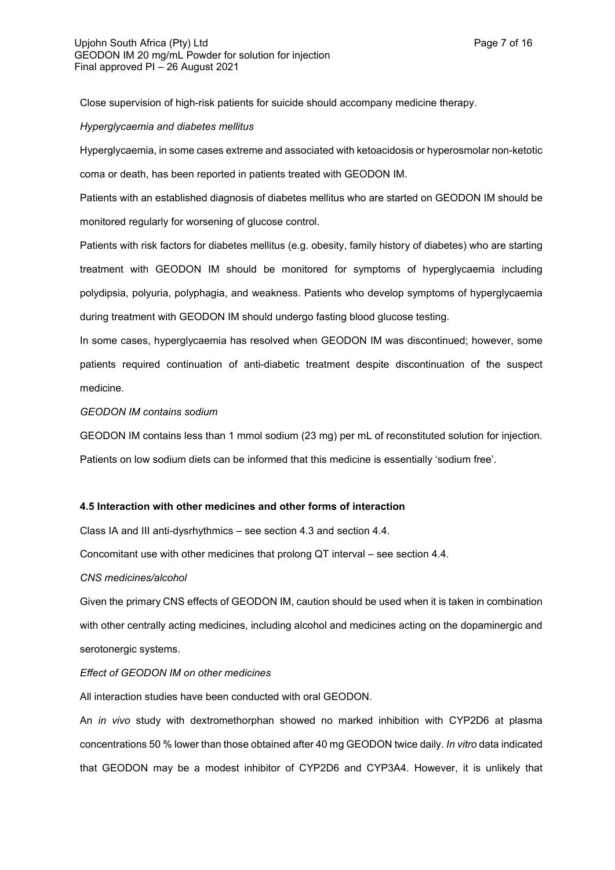Close supervision of high-risk patients for suicide should accompany medicine therapy.

## *Hyperglycaemia and diabetes mellitus*

Hyperglycaemia, in some cases extreme and associated with ketoacidosis or hyperosmolar non-ketotic coma or death, has been reported in patients treated with GEODON IM.

Patients with an established diagnosis of diabetes mellitus who are started on GEODON IM should be monitored regularly for worsening of glucose control.

Patients with risk factors for diabetes mellitus (e.g. obesity, family history of diabetes) who are starting treatment with GEODON IM should be monitored for symptoms of hyperglycaemia including polydipsia, polyuria, polyphagia, and weakness. Patients who develop symptoms of hyperglycaemia during treatment with GEODON IM should undergo fasting blood glucose testing.

In some cases, hyperglycaemia has resolved when GEODON IM was discontinued; however, some patients required continuation of anti-diabetic treatment despite discontinuation of the suspect medicine.

## *GEODON IM contains sodium*

GEODON IM contains less than 1 mmol sodium (23 mg) per mL of reconstituted solution for injection. Patients on low sodium diets can be informed that this medicine is essentially 'sodium free'.

# **4.5 Interaction with other medicines and other forms of interaction**

Class IA and III anti-dysrhythmics – see section 4.3 and section 4.4.

Concomitant use with other medicines that prolong QT interval – see section 4.4.

## *CNS medicines/alcohol*

Given the primary CNS effects of GEODON IM, caution should be used when it is taken in combination with other centrally acting medicines, including alcohol and medicines acting on the dopaminergic and serotonergic systems.

# *Effect of GEODON IM on other medicines*

All interaction studies have been conducted with oral GEODON.

An *in vivo* study with dextromethorphan showed no marked inhibition with CYP2D6 at plasma concentrations 50 % lower than those obtained after 40 mg GEODON twice daily. *In vitro* data indicated that GEODON may be a modest inhibitor of CYP2D6 and CYP3A4. However, it is unlikely that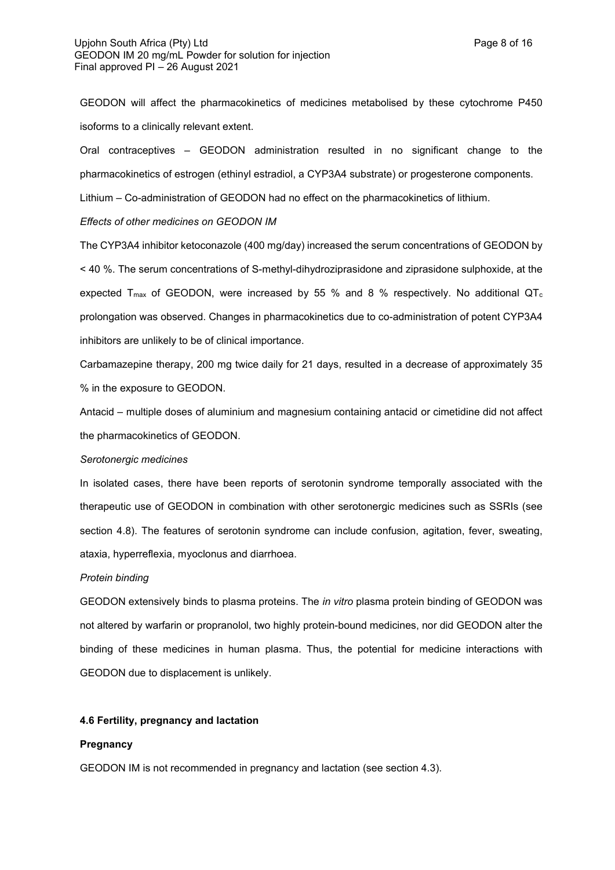GEODON will affect the pharmacokinetics of medicines metabolised by these cytochrome P450 isoforms to a clinically relevant extent.

Oral contraceptives – GEODON administration resulted in no significant change to the pharmacokinetics of estrogen (ethinyl estradiol, a CYP3A4 substrate) or progesterone components.

Lithium – Co-administration of GEODON had no effect on the pharmacokinetics of lithium.

## *Effects of other medicines on GEODON IM*

The CYP3A4 inhibitor ketoconazole (400 mg/day) increased the serum concentrations of GEODON by < 40 %. The serum concentrations of S-methyl-dihydroziprasidone and ziprasidone sulphoxide, at the expected  $T_{\text{max}}$  of GEODON, were increased by 55 % and 8 % respectively. No additional QT<sub>c</sub> prolongation was observed. Changes in pharmacokinetics due to co-administration of potent CYP3A4 inhibitors are unlikely to be of clinical importance.

Carbamazepine therapy, 200 mg twice daily for 21 days, resulted in a decrease of approximately 35 % in the exposure to GEODON.

Antacid – multiple doses of aluminium and magnesium containing antacid or cimetidine did not affect the pharmacokinetics of GEODON.

## *Serotonergic medicines*

In isolated cases, there have been reports of serotonin syndrome temporally associated with the therapeutic use of GEODON in combination with other serotonergic medicines such as SSRIs (see section 4.8). The features of serotonin syndrome can include confusion, agitation, fever, sweating, ataxia, hyperreflexia, myoclonus and diarrhoea.

#### *Protein binding*

GEODON extensively binds to plasma proteins. The *in vitro* plasma protein binding of GEODON was not altered by warfarin or propranolol, two highly protein-bound medicines, nor did GEODON alter the binding of these medicines in human plasma. Thus, the potential for medicine interactions with GEODON due to displacement is unlikely.

# **4.6 Fertility, pregnancy and lactation**

#### **Pregnancy**

GEODON IM is not recommended in pregnancy and lactation (see section 4.3).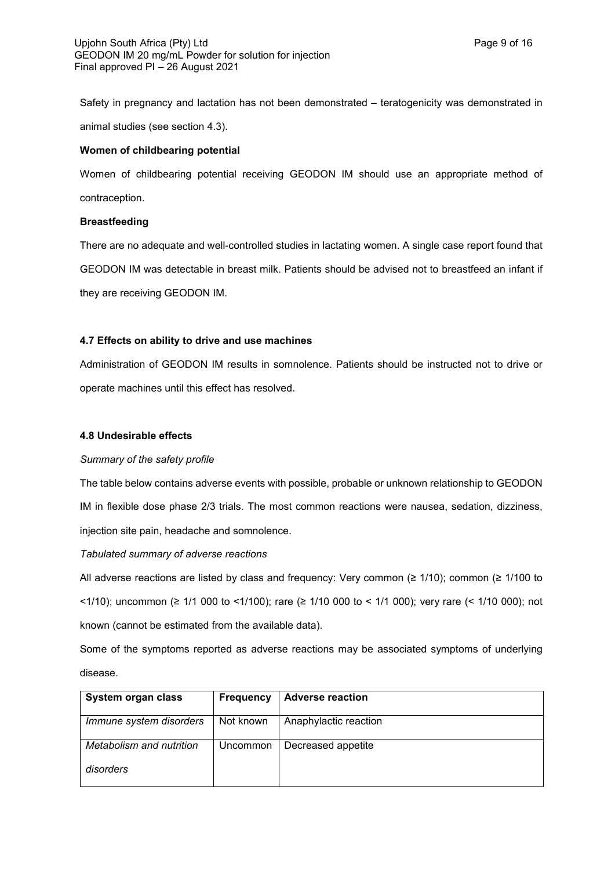Safety in pregnancy and lactation has not been demonstrated – teratogenicity was demonstrated in animal studies (see section 4.3).

## **Women of childbearing potential**

Women of childbearing potential receiving GEODON IM should use an appropriate method of contraception.

## **Breastfeeding**

There are no adequate and well-controlled studies in lactating women. A single case report found that GEODON IM was detectable in breast milk. Patients should be advised not to breastfeed an infant if they are receiving GEODON IM.

# **4.7 Effects on ability to drive and use machines**

Administration of GEODON IM results in somnolence. Patients should be instructed not to drive or operate machines until this effect has resolved.

## **4.8 Undesirable effects**

## *Summary of the safety profile*

The table below contains adverse events with possible, probable or unknown relationship to GEODON IM in flexible dose phase 2/3 trials. The most common reactions were nausea, sedation, dizziness, injection site pain, headache and somnolence.

*Tabulated summary of adverse reactions*

All adverse reactions are listed by class and frequency: Very common ( $\geq 1/10$ ); common ( $\geq 1/100$  to <1/10); uncommon (≥ 1/1 000 to <1/100); rare (≥ 1/10 000 to < 1/1 000); very rare (< 1/10 000); not known (cannot be estimated from the available data).

Some of the symptoms reported as adverse reactions may be associated symptoms of underlying disease.

| System organ class       | <b>Frequency</b> | <b>Adverse reaction</b> |
|--------------------------|------------------|-------------------------|
| Immune system disorders  | Not known        | Anaphylactic reaction   |
| Metabolism and nutrition | Uncommon         | Decreased appetite      |
| disorders                |                  |                         |
|                          |                  |                         |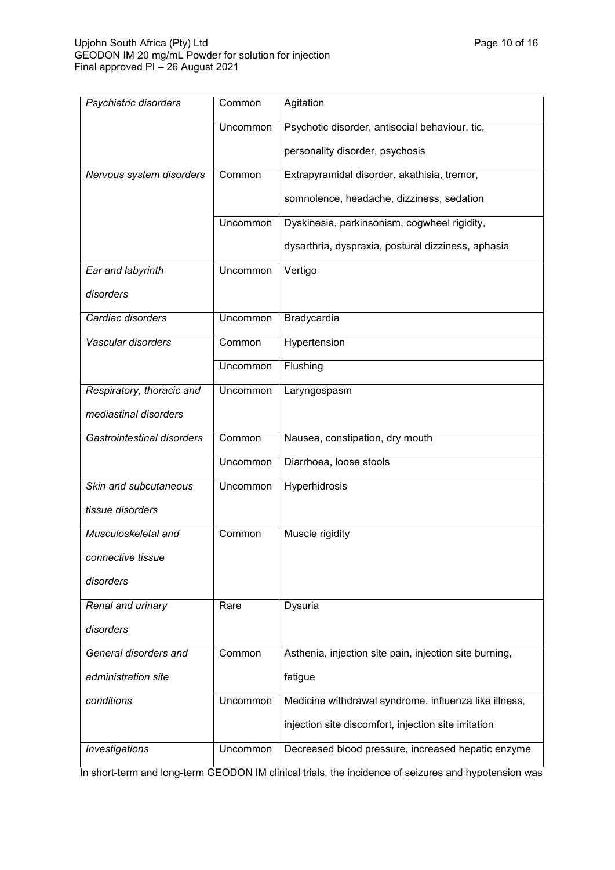| Psychiatric disorders      | Common   | Agitation                                              |
|----------------------------|----------|--------------------------------------------------------|
|                            | Uncommon | Psychotic disorder, antisocial behaviour, tic,         |
|                            |          | personality disorder, psychosis                        |
| Nervous system disorders   | Common   | Extrapyramidal disorder, akathisia, tremor,            |
|                            |          | somnolence, headache, dizziness, sedation              |
|                            | Uncommon | Dyskinesia, parkinsonism, cogwheel rigidity,           |
|                            |          | dysarthria, dyspraxia, postural dizziness, aphasia     |
| Ear and labyrinth          | Uncommon | Vertigo                                                |
| disorders                  |          |                                                        |
| Cardiac disorders          | Uncommon | Bradycardia                                            |
| Vascular disorders         | Common   | Hypertension                                           |
|                            | Uncommon | Flushing                                               |
| Respiratory, thoracic and  | Uncommon | Laryngospasm                                           |
| mediastinal disorders      |          |                                                        |
| Gastrointestinal disorders | Common   | Nausea, constipation, dry mouth                        |
|                            | Uncommon | Diarrhoea, loose stools                                |
| Skin and subcutaneous      | Uncommon | Hyperhidrosis                                          |
| tissue disorders           |          |                                                        |
| Musculoskeletal and        | Common   | Muscle rigidity                                        |
| connective tissue          |          |                                                        |
| disorders                  |          |                                                        |
| Renal and urinary          | Rare     | Dysuria                                                |
| disorders                  |          |                                                        |
| General disorders and      | Common   | Asthenia, injection site pain, injection site burning, |
| administration site        |          | fatigue                                                |
| conditions                 | Uncommon | Medicine withdrawal syndrome, influenza like illness,  |
|                            |          | injection site discomfort, injection site irritation   |
| Investigations             | Uncommon | Decreased blood pressure, increased hepatic enzyme     |

In short-term and long-term GEODON IM clinical trials, the incidence of seizures and hypotension was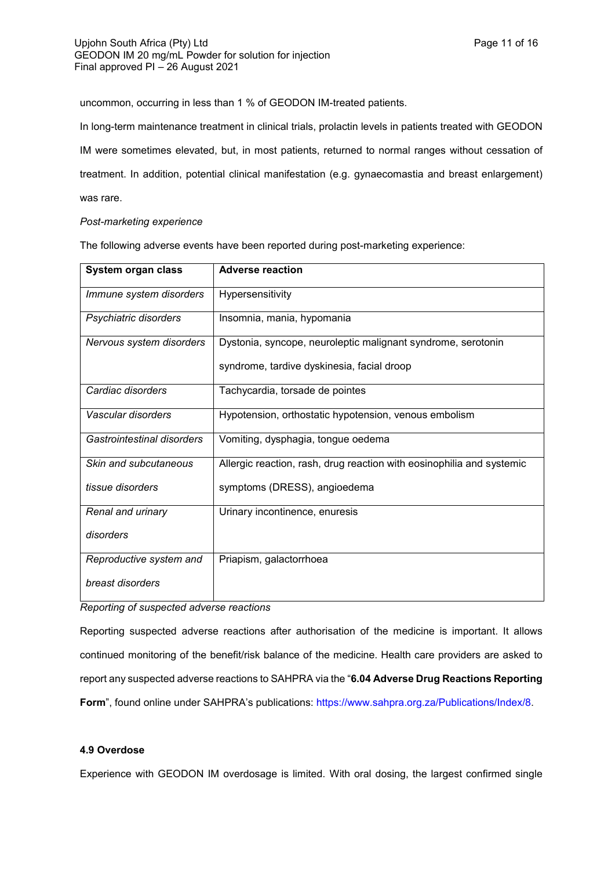uncommon, occurring in less than 1 % of GEODON IM-treated patients.

In long-term maintenance treatment in clinical trials, prolactin levels in patients treated with GEODON IM were sometimes elevated, but, in most patients, returned to normal ranges without cessation of treatment. In addition, potential clinical manifestation (e.g. gynaecomastia and breast enlargement) was rare.

*Post-marketing experience*

The following adverse events have been reported during post-marketing experience:

| System organ class         | <b>Adverse reaction</b>                                               |
|----------------------------|-----------------------------------------------------------------------|
| Immune system disorders    | Hypersensitivity                                                      |
| Psychiatric disorders      | Insomnia, mania, hypomania                                            |
| Nervous system disorders   | Dystonia, syncope, neuroleptic malignant syndrome, serotonin          |
|                            | syndrome, tardive dyskinesia, facial droop                            |
| Cardiac disorders          | Tachycardia, torsade de pointes                                       |
| Vascular disorders         | Hypotension, orthostatic hypotension, venous embolism                 |
| Gastrointestinal disorders | Vomiting, dysphagia, tongue oedema                                    |
| Skin and subcutaneous      | Allergic reaction, rash, drug reaction with eosinophilia and systemic |
| tissue disorders           | symptoms (DRESS), angioedema                                          |
| Renal and urinary          | Urinary incontinence, enuresis                                        |
| disorders                  |                                                                       |
| Reproductive system and    | Priapism, galactorrhoea                                               |
| breast disorders           |                                                                       |

*Reporting of suspected adverse reactions*

Reporting suspected adverse reactions after authorisation of the medicine is important. It allows continued monitoring of the benefit/risk balance of the medicine. Health care providers are asked to report any suspected adverse reactions to SAHPRA via the "**6.04 Adverse Drug Reactions Reporting**  Form", found online under SAHPRA's publications:<https://www.sahpra.org.za/Publications/Index/8>.

# **4.9 Overdose**

Experience with GEODON IM overdosage is limited. With oral dosing, the largest confirmed single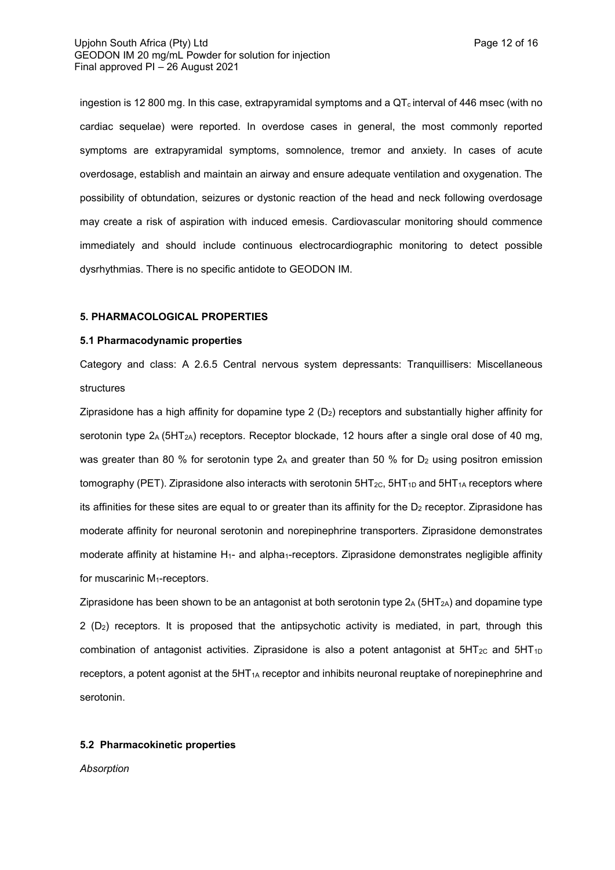ingestion is 12 800 mg. In this case, extrapyramidal symptoms and a  $QT_c$  interval of 446 msec (with no cardiac sequelae) were reported. In overdose cases in general, the most commonly reported symptoms are extrapyramidal symptoms, somnolence, tremor and anxiety. In cases of acute overdosage, establish and maintain an airway and ensure adequate ventilation and oxygenation. The possibility of obtundation, seizures or dystonic reaction of the head and neck following overdosage may create a risk of aspiration with induced emesis. Cardiovascular monitoring should commence immediately and should include continuous electrocardiographic monitoring to detect possible dysrhythmias. There is no specific antidote to GEODON IM.

#### **5. PHARMACOLOGICAL PROPERTIES**

#### **5.1 Pharmacodynamic properties**

Category and class: A 2.6.5 Central nervous system depressants: Tranquillisers: Miscellaneous structures

Ziprasidone has a high affinity for dopamine type  $2 (D<sub>2</sub>)$  receptors and substantially higher affinity for serotonin type  $2_A (5HT_{2A})$  receptors. Receptor blockade, 12 hours after a single oral dose of 40 mg, was greater than 80 % for serotonin type  $2_A$  and greater than 50 % for  $D_2$  using positron emission tomography (PET). Ziprasidone also interacts with serotonin  $5HT_{2C}$ ,  $5HT_{1D}$  and  $5HT_{1A}$  receptors where its affinities for these sites are equal to or greater than its affinity for the  $D<sub>2</sub>$  receptor. Ziprasidone has moderate affinity for neuronal serotonin and norepinephrine transporters. Ziprasidone demonstrates moderate affinity at histamine H<sub>1</sub>- and alpha<sub>1</sub>-receptors. Ziprasidone demonstrates negligible affinity for muscarinic M1-receptors.

Ziprasidone has been shown to be an antagonist at both serotonin type  $2_A (5HT<sub>2A</sub>)$  and dopamine type 2 (D2) receptors. It is proposed that the antipsychotic activity is mediated, in part, through this combination of antagonist activities. Ziprasidone is also a potent antagonist at  $5HT_{2C}$  and  $5HT_{1D}$ receptors, a potent agonist at the  $5HT<sub>1A</sub>$  receptor and inhibits neuronal reuptake of norepinephrine and serotonin.

## **5.2 Pharmacokinetic properties**

*Absorption*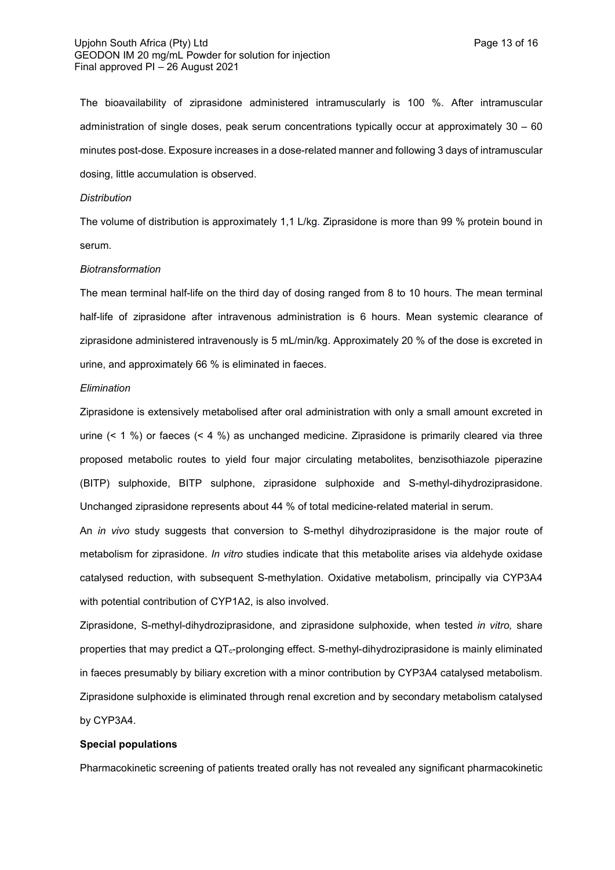#### Upjohn South Africa (Pty) Ltd **Page 13 of 16** Page 13 of 16 GEODON IM 20 mg/mL Powder for solution for injection Final approved PI – 26 August 2021

The bioavailability of ziprasidone administered intramuscularly is 100 %. After intramuscular administration of single doses, peak serum concentrations typically occur at approximately 30 – 60 minutes post-dose. Exposure increases in a dose-related manner and following 3 days of intramuscular dosing, little accumulation is observed.

#### *Distribution*

The volume of distribution is approximately 1,1 L/kg. Ziprasidone is more than 99 % protein bound in serum.

#### *Biotransformation*

The mean terminal half-life on the third day of dosing ranged from 8 to 10 hours. The mean terminal half-life of ziprasidone after intravenous administration is 6 hours. Mean systemic clearance of ziprasidone administered intravenously is 5 mL/min/kg. Approximately 20 % of the dose is excreted in urine, and approximately 66 % is eliminated in faeces.

## *Elimination*

Ziprasidone is extensively metabolised after oral administration with only a small amount excreted in urine (< 1 %) or faeces (< 4 %) as unchanged medicine. Ziprasidone is primarily cleared via three proposed metabolic routes to yield four major circulating metabolites, benzisothiazole piperazine (BITP) sulphoxide, BITP sulphone, ziprasidone sulphoxide and S-methyl-dihydroziprasidone. Unchanged ziprasidone represents about 44 % of total medicine-related material in serum.

An *in vivo* study suggests that conversion to S-methyl dihydroziprasidone is the major route of metabolism for ziprasidone. *In vitro* studies indicate that this metabolite arises via aldehyde oxidase catalysed reduction, with subsequent S-methylation. Oxidative metabolism, principally via CYP3A4 with potential contribution of CYP1A2, is also involved.

Ziprasidone, S-methyl-dihydroziprasidone, and ziprasidone sulphoxide, when tested *in vitro,* share properties that may predict a QTc-prolonging effect. S-methyl-dihydroziprasidone is mainly eliminated in faeces presumably by biliary excretion with a minor contribution by CYP3A4 catalysed metabolism. Ziprasidone sulphoxide is eliminated through renal excretion and by secondary metabolism catalysed by CYP3A4.

## **Special populations**

Pharmacokinetic screening of patients treated orally has not revealed any significant pharmacokinetic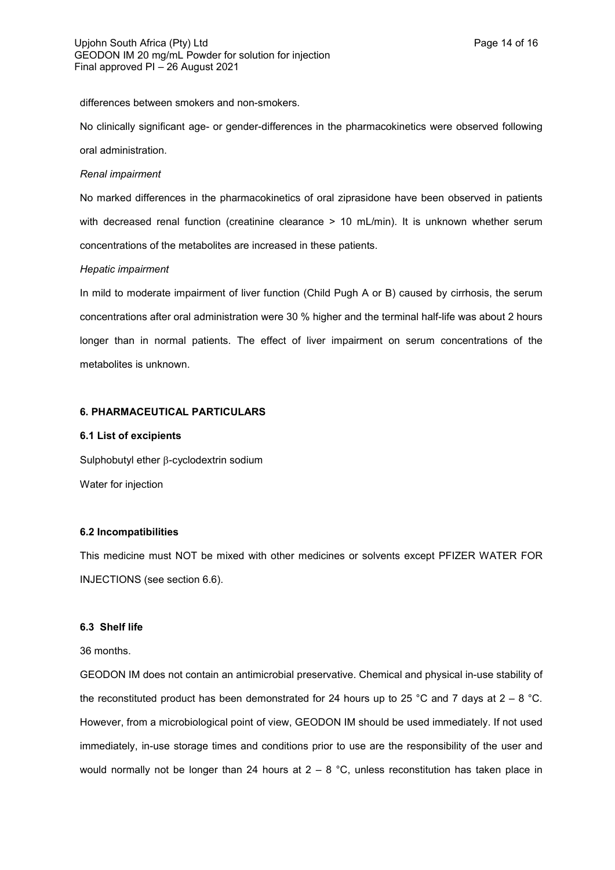differences between smokers and non-smokers.

No clinically significant age- or gender-differences in the pharmacokinetics were observed following oral administration.

#### *Renal impairment*

No marked differences in the pharmacokinetics of oral ziprasidone have been observed in patients with decreased renal function (creatinine clearance > 10 mL/min). It is unknown whether serum concentrations of the metabolites are increased in these patients.

## *Hepatic impairment*

In mild to moderate impairment of liver function (Child Pugh A or B) caused by cirrhosis, the serum concentrations after oral administration were 30 % higher and the terminal half-life was about 2 hours longer than in normal patients. The effect of liver impairment on serum concentrations of the metabolites is unknown.

## **6. PHARMACEUTICAL PARTICULARS**

## **6.1 List of excipients**

Sulphobutyl ether  $\beta$ -cyclodextrin sodium Water for injection

## **6.2 Incompatibilities**

This medicine must NOT be mixed with other medicines or solvents except PFIZER WATER FOR INJECTIONS (see section 6.6).

## **6.3 Shelf life**

36 months.

GEODON IM does not contain an antimicrobial preservative. Chemical and physical in-use stability of the reconstituted product has been demonstrated for 24 hours up to 25 °C and 7 days at  $2 - 8$  °C. However, from a microbiological point of view, GEODON IM should be used immediately. If not used immediately, in-use storage times and conditions prior to use are the responsibility of the user and would normally not be longer than 24 hours at  $2 - 8$  °C, unless reconstitution has taken place in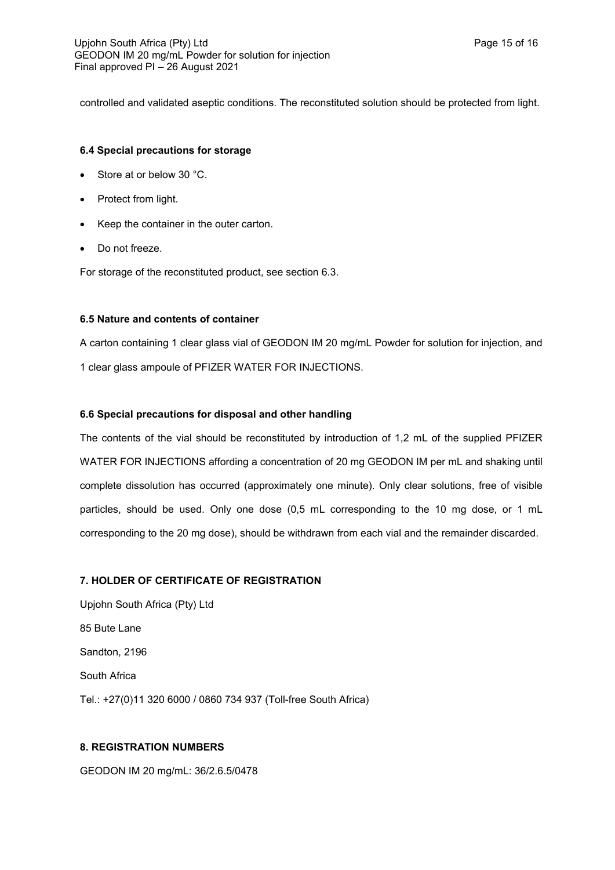controlled and validated aseptic conditions. The reconstituted solution should be protected from light.

# **6.4 Special precautions for storage**

- Store at or below 30 °C.
- Protect from light.
- Keep the container in the outer carton.
- Do not freeze.

For storage of the reconstituted product, see section 6.3.

# **6.5 Nature and contents of container**

A carton containing 1 clear glass vial of GEODON IM 20 mg/mL Powder for solution for injection, and 1 clear glass ampoule of PFIZER WATER FOR INJECTIONS.

# **6.6 Special precautions for disposal and other handling**

The contents of the vial should be reconstituted by introduction of 1,2 mL of the supplied PFIZER WATER FOR INJECTIONS affording a concentration of 20 mg GEODON IM per mL and shaking until complete dissolution has occurred (approximately one minute). Only clear solutions, free of visible particles, should be used. Only one dose (0,5 mL corresponding to the 10 mg dose, or 1 mL corresponding to the 20 mg dose), should be withdrawn from each vial and the remainder discarded.

# **7. HOLDER OF CERTIFICATE OF REGISTRATION**

Upjohn South Africa (Pty) Ltd 85 Bute Lane Sandton, 2196 South Africa Tel.: +27(0)11 320 6000 / 0860 734 937 (Toll-free South Africa)

# **8. REGISTRATION NUMBERS**

GEODON IM 20 mg/mL: 36/2.6.5/0478